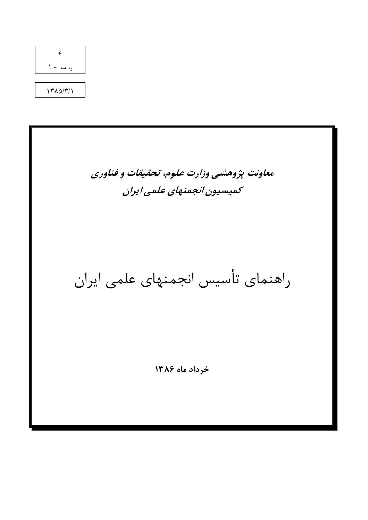

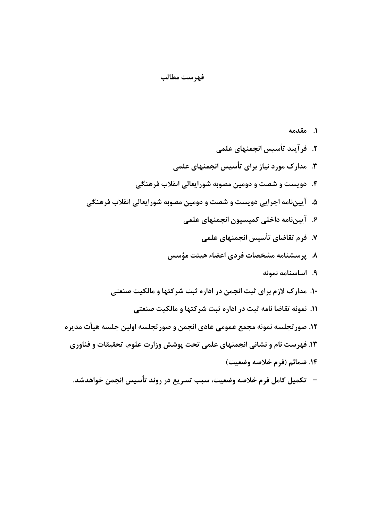#### فهرست مطالب

١. مقدمه ٢. فرآيند تأسيس انجمنهاي علمي ۳. مدارک مورد نیاز برای تأسیس انجمنهای علمی ۴. دویست و شصت و دومین مصوبه شورایعالی انقلاب فرهنگی ۵. آییننامه اجرایی دویست و شصت و دومین مصوبه شورایعالی انقلاب فرهنگی ۶. آییننامه داخلی کمیسیون انجمنهای علمی ۷. فرم تقاضای تأسیس انجمنهای علمی ۸. پرسشنامه مشخصات فردی اعضاء هیئت مؤسس ٩. اساسنامه نمونه ۱۰. مدارک لازم برای ثبت انجمن در اداره ثبت شرکتها و مالکیت صنعتی ١١. نمونه تقاضا نامه ثبت در اداره ثبت شركتها و مالكيت صنعتي ١٢. صور تجلسه نمونه مجمع عمومي عادي انجمن و صور تجلسه اولين جلسه هيأت مديره ۱۳. فهرست نام و نشانی انجمنهای علمی تحت پوشش وزارت علوم، تحقیقات و فناوری

- - ١۴. ضمائم (فرم خلاصه وضعيت)
- –۔ تكميل كامل فرم خلاصه وضعيت، سبب تسريع در روند تأسيس انجمن خواهدشد.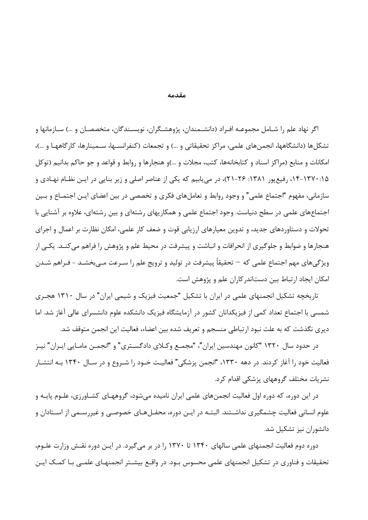مقدمه

اگر نهاد علم را شـامل مجموعــه افـراد (دانشــمندان، پژوهشـگران، نويســندگان، متخصصـان و …) ســازمانها و تشکلها (دانشگاهها، انجمنهای علمی، مراکز تحقیقاتی و …) و تجمعات (کنفرانسـها، سـمینارها، کارگاههـا و …)، امکانات و منابع (مراکز اسناد و کتابخانهها، کتب، مجلات و …)و هنجارها و روابط و قواعد و جو حاکم بدانیم (توکل ۱۵:۱۳۷۰-۱۴، رفیع پور ۱۳۸۱: ۲۶-۲۱)، در می پابیم که یکی از عناصر اصلی و زیر بنایی در ایـن نظـام نهـادی و سازمانی، مفهوم "اجتماع علمی" و وجود روابط و تعاملهای فکری و تخصصی در بین اعضای ایـن اجتمــاع و بــین اجتماعهای علمی در سطح دنیاست. وجود اجتماع علمی و همکاریهای رشتهای و بین رشتهای، علاوه بر آشنایی با تحولات و دستاوردهای جدید، و تدوین معیارهای ارزیابی قوت و ضعف کار علمی، امکان نظارت بر اعمال و اجرای هنجا,ها و ضوابط و جلوگیری از انحرافات و انباشت و پیشرفت در محیط علم و پژوهش را فراهم میکنــد. یکــی از ویژگی های مهم اجتماع علمی که – تحقیقاً پیشرفت در تولید و ترویج علم را سـرعت مـی بخشـد - فـراهم شـدن امکان ایجاد ارتباط بین دستاندر کاران علم و پژوهش است.

تاریخچه تشکیل انجمنهای علمی در ایران با تشکیل "جمعیت فیزیک و شیمی ایران" در سال ۱۳۱۰ هجـری شمسی با اجتماع تعداد کمی از فیزیکدانان کشور در آزمایشگاه فیزیک دانشکده علوم دانشسرای عالی آغاز شد. اما دیری نگذشت که به علت نبود ارتباطی منسجم و تعریف شده بین اعضاء، فعالیت این انجمن متوقف شد.

در حدود سال ۱۳۲۰ "کانون مهندسین ایران"، "مجمـع وکــلای دادگســتری" و "انجمـن مامــایی ایــران" نیــز فعالیت خود را آغاز کردند. در دهه ۱۳۳۰، "انجمن پزشکی" فعالیـت خـود را شـروع و در سـال ۱۳۴۰ بـه انتشـار نشریات مختلف گروههای پزشکی اقدام کرد.

در این دوره، که دوره اول فعالیت انجمنهای علمی ایران نامیده می شود، گروههـای کشــاورزی، علــوم پایــه و علوم انسانی فعالیت چشمگیری نداشـتند. البتـه در ایـن دوره، محفـلهـای خصوصـی و غیررسـمی از اسـتادان و دانشوران نیز تشکیل شد.

دوره دوم فعالیت انجمنهای علمی سالهای ۱۳۴۰ تا ۱۳۷۰ را در بر می گیرد. در ایـن دوره نقـش وزارت علـوم، تحقیقات و فناوری در تشکیل انجمنهای علمی محسوس بـود. در واقــع بیشــتر انجمنهــای علمــی بــا کمــک ایــن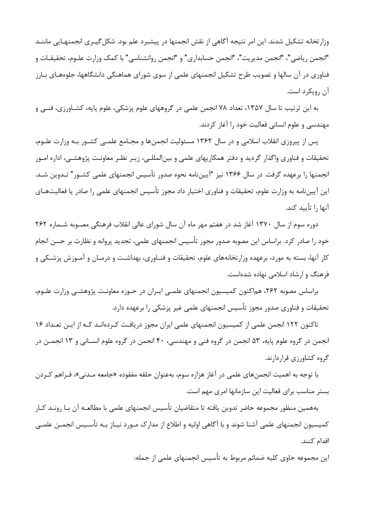وزارتخانه تشکیل شدند. این امر نتیجه آگاهی از نقش انجمنها در پیشبرد علم بود. شکل گیـری انجمنهـایی ماننــد "انجمن رياضي"، "انجمن مديريت"، "انجمن حسابداري" و "انجمن روانشناسي" با كمک وزارت علـوم، تحقيقـات و فناوری در آن سالها و تصویب طرح تشکیل انجمنهای علمی از سوی شورای هماهنگی دانشگاهها، جلوههـای بـارز آن رویکرد است.

به این ترتیب تا سال ۱۳۵۷، تعداد ۷۸ انجمن علمی در گروههای علوم پزشکی، علوم پایه، کشـاورزی، فنـی و مهندسی و علوم انسانی فعالیت خود را آغاز کردند.

پس از پیروزی انقلاب اسلامی و در سال ۱۳۶۲ مسئولیت انجمنها و مجـامع علمـی کشـور بـه وزارت علـوم، تحقیقات و فناوری واگذار گردید و دفتر همکاریهای علمی و بین|لمللـی، زیـر نظـر معاونـت پژوهشـی، اداره امـور انجمنها را برعهده گرفت. در سال ۱۳۶۶ نیز "آیینiلمه نحوه صدور تأسیس انجمنهای علمی کشـور" تـدوین شـد. این آییننامه به وزارت علوم، تحقیقات و فناوری اختیار داد مجوز تأسیس انجمنهای علمی را صادر یا فعالیتهـای آنها ,ا تأسد كند.

دوره سوم از سال ۱۳۷۰ آغاز شد در هفتم مهر ماه آن سال شورای عالی انقلاب فرهنگی مصـوبه شـماره ۲۶۲ خود را صادر کرد. براساس این مصوبه صدور مجوز تأسیس انجمنهای علمی، تجدید پروانه و نظارت بر حسن انجام کار آنها، بسته به مورد، برعهده وزارتخانههای علوم، تحقیقات و فنـاوری، بهداشـت و درمـان و آمـوزش پزشـکی و فرهنگ و ارشاد اسلامی نهاده شدهاست.

براساس مصوبه ٢۶٢، هماكنون كميسيون انجمنهاي علمـي ايـران در حـوزه معاونـت پژوهشـي وزارت علـوم، تحقیقات و فناوری صدور مجوز تأسیس انجمنهای علمی غیر پزشکی را برعهده دارد.

تاکنون ۱۲۲ انجمن علمی از کمیسیون انجمنهای علمی ایران مجوز دریافت کـردهانـد کـه از ایـن تعـداد ۱۶ انجمن در گروه علوم پایه، ۵۳ انجمن در گروه فنی و مهندسی، ۴۰ انجمن در گروه علوم انسـانی و ۱۳ انجمــن در گروه کشاورزی قراردارند.

با توجه به اهمیت انجمنهای علمی در آغاز هزاره سوم، بهعنوان حلقه مفقوده «جامعه مـدنی»، فـراهم کـردن بستر مناسب برای فعالیت این سازمانها امری مهم است.

بههمین منظور مجموعه حاضر تدوین یافته تا متقاضیان تأسیس انجمنهای علمی با مطالعـه آن بـا رونـد کـار کمیسیون انجمنهای علمی آشنا شوند و با آگاهی اولیه و اطلاع از مدارک مـورد نیـاز بـه تأسـیس انجمـن علمـی اقدام كنند.

این مجموعه حاوی کلیه ضمائم مربوط به تأسیس انجمنهای علمی از جمله: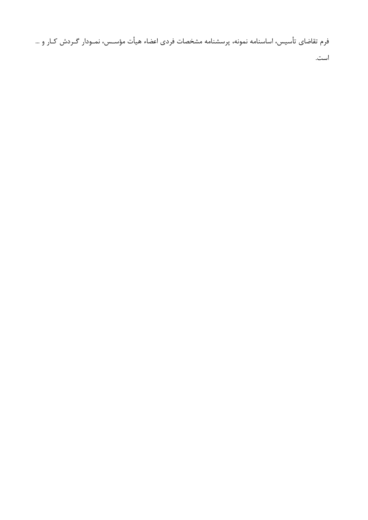فرم تقاضاي تأسيس، اساسنامه نمونه، پرسشنامه مشخصات فردي اعضاء هيأت مؤسـس، نمـودار گـردش كـار و …

است.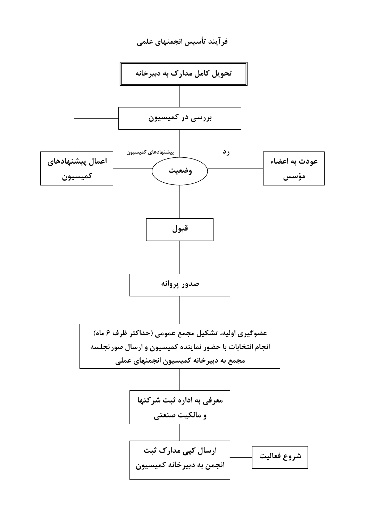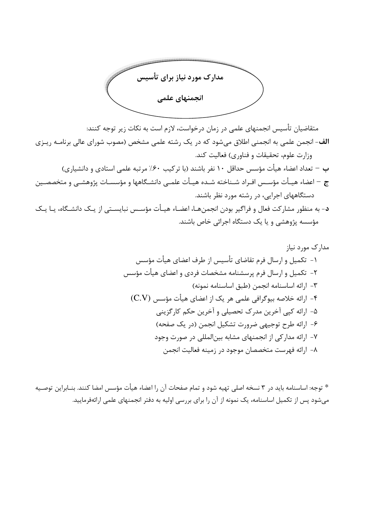

متقاضیان تأسیس انجمنهای علمی در زمان درخواست، لازم است به نکات زیر توجه کنند: الف- انجمن علمی به انجمنی اطلاق میشود که در یک رشته علمی مشخص (مصوب شورای عالی برنامـه ریـزی وزارت علوم، تحقیقات و فناوری) فعالیت کند. ب – تعداد اعضاء هيأت مؤسس حداقل ١٠ نفر باشند (با تركيب ٤٠٪ مرتبه علمي استادي و دانشياري) ج – اعضاء هيـأت مؤسـس افـراد شـناخته شـده هيـأت علمـى دانشـگاهها و مؤسسـات پژوهشـى و متخصصـين دستگاههای اجرایی، در رشته مورد نظر باشند.

د- به منظور مشارکت فعال و فراگیر بودن انجمنهـا، اعضـاء هیـأت مؤسـس نبایسـتی از یـک دانشـگاه، یـا یـک مؤسسه پژوهشی و یا یک دستگاه اجرائی خاص باشند.

\* توجه: اساسنامه بايد در ٣ نسخه اصلي تهيه شود و تمام صفحات آن ,ا اعضاء هيأت مؤسس امضا كنند. بنــابراين توصــيه میشود پس از تکمیل اساسنامه، یک نمونه از آن را برای بررسی اولیه به دفتر انجمنهای علمی ارائهفرمایید.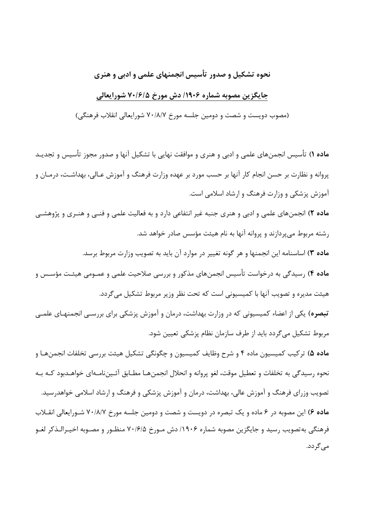### نحوه تشکیل و صدور تأسیس انجمنهای علمی و ادبی و هنری

#### جایگزین مصوبه شماره ۱۹۰۶/ دش مورخ ۷۰/۶/۵ شورایعالی

(مصوب دویست و شصت و دومین جلسه مورخ ۷۰/۸/۷ شورایعالی انقلاب فرهنگی)

م**اده ۱**) تأسیس انجمنهای علمی و ادبی و هنری و موافقت نهایی با تشکیل آنها و صدور مجوز تأسیس و تجدیـد پروانه و نظارت بر حسن انجام کار آنها بر حسب مورد بر عهده وزارت فرهنگ و آموزش عـالی، بهداشـت، درمـان و آموزش پزشکی و وزارت فرهنگ و ارشاد اسلامی است.

**ماده ۲**) انجمنهای علمی و ادبی و هنری جنبه غیر انتفاعی دارد و به فعالیت علمی و فنــی و هنـری و پژوهشــی رشته مربوط می پردازند و پروانه آنها به نام هیئت مؤسس صادر خواهد شد.

م**اده ٣)** اساسنامه این انجمنها و هر گونه تغییر در موارد آن باید به تصویب وزارت مربوط برسد. **ماده ۴**) رسیدگی به درخواست تأسیس انجمنهای مذکور و بررسی صلاحیت علمی و عمـومی هیئـت مؤسـس و هیئت مدیره و تصویب آنها با کمیسیونی است که تحت نظر وزیر مربوط تشکیل می گردد.

تبصره) یکی از اعضاء کمیسیونی که در وزارت بهداشت، درمان و آموزش پزشکی برای بررسـی انجمنهـای علمــی مربوط تشکیل میگردد باید از طرف سازمان نظام پزشکی تعیین شود.

م**اده ۵**) ترکیب کمیسیون ماده ۴ و شرح وظایف کمیسیون و چگونگی تشکیل هیئت بررسی تخلفات انجمنهـا و نحوه رسیدگی به تخلفات و تعطیل موقت، لغو پروانه و انحلال انجمنهـا مطـابق آئـیننامـهای خواهـدبود کـه بـه تصویب وزرای فرهنگ و آموزش عالی، بهداشت، درمان و آموزش پزشکی و فرهنگ و ارشاد اسلامی خواهدرسید. م**اده ۶**) این مصوبه در ۶ ماده و یک تبصره در دویست و شصت و دومین جلسه مورخ ۷۰/۸/۷ شـورایعالی انقــلاب فرهنگی به تصویب رسید و جایگزین مصوبه شماره ۱۹۰۶/ دش مـورخ ۷۰/۶/۵ منظـور و مصـوبه اخیـرالـذکر لغـو مے گر دد.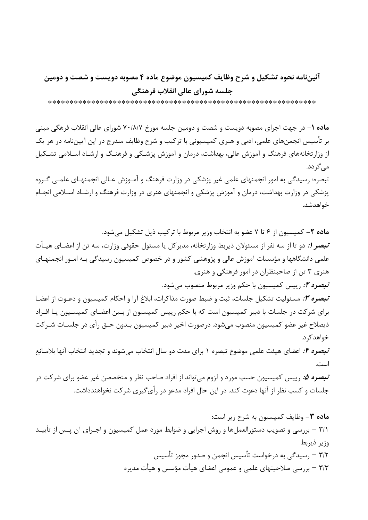### آئیننامه نحوه تشکیل و شرح وظایف کمیسیون موضوع ماده ۴ مصوبه دویست و شصت و دومین جلسه شوراي عالى انقلاب فرهنگي

م**اده ۱**– در جهت اجرای مصوبه دویست و شصت و دومین جلسه مورخ ۷۰/۸/۷ شورای عالی انقلاب فرهگی مبنی بر تأسیس انجمنهای علمی، ادبی و هنری کمیسیونی با ترکیب و شرح وظایف مندرج در این آییننامه در هر یک از وزارتخانههای فرهنگ و آموزش عالی، بهداشت، درمان و آموزش پزشـکی و فرهنـگ و ارشـاد اسـلامی تشـکیل مے گر دد. تبصره: رسیدگی به امور انجمنهای علمی غیر پزشکی در وزارت فرهنگ و آمـوزش عـالی انجمنهـای علمـی گـروه یزشکی در وزارت بهداشت، درمان و آموزش پزشکی و انجمنهای هنری در وزارت فرهنگ و ارشـاد اسـلامی انجـام خواهدشد.

ماده ٢- كميسيون از ۶ تا ٧ عضو به انتخاب وزير مربوط با تركيب ذيل تشكيل مي شود. *تبصر 1:* دو تا از سه نفر از مسئولان ذیربط وزارتخانه، مدیرکل یا مسئول حقوقی وزارت، سه تن از اعضـای هیـأت علمی دانشگاهها و مؤسسات آموزش عالی و پژوهشی کشور و در خصوص کمیسیون رسیدگی بـه امـور انجمنهـای هنري ۳ تن از صاحبنظران در امور فرهنگي و هنري. *تبصره ۲:* رییس کمیسیون با حکم وزیر مربوط منصوب میشود. تبصره ۰٫۳ مسئولیت تشکیل جلسات، ثبت و ضبط صورت مذاکرات، ابلاغ آرا و احکام کمیسیون و دعـوت از اعضـا

برای شرکت در جلسات با دبیر کمیسیون است که با حکم رییس کمیسیون از بـین اعضـای کمیسـیون یـا افـراد ذيصلاح غير عضو كميسيون منصوب مىشود. درصورت اخير دبير كميسيون بـدون حـق رأى در جلسـات شـركت خواهد کر د.

تبصره ۴: اعضای هیئت علمی موضوع تبصره ۱ برای مدت دو سال انتخاب می شوند و تجدید انتخاب آنها بلامــانع است.

*تبصره ۵:* رییس کمیسیون حسب مورد و لزوم میتواند از افراد صاحب نظر و متخصصن غیر عضو برای شرکت در جلسات و کسب نظر از آنها دعوت کند. در این حال افراد مدعو در رأی گیری شرکت نخواهندداشت.

ماده ۳- وظایف کمیسیون به شرح زیر است: ٣/١ – بررسي و تصويب دستورالعملها و روش اجرايي و ضوابط مورد عمل كميسيون و اجـراي آن پــس از تأييــد وزير ذيربط ۳/۲ – ٫سیدگی به درخواست تأسیس انجمن و صدور مجوز تأسیس ٣/٣ – بررسی صلاحیتهای علمی و عمومی اعضای هیأت مؤسس و هیأت مدیره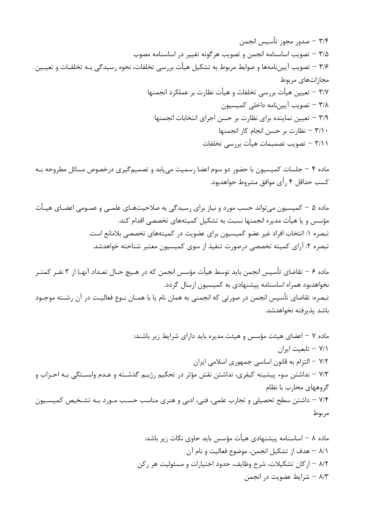٣/٤ – صدور مجوز تأسيس انجمن ٣/۵ – تصويب اساسنامه انجمن و تصويب هرگونه تغيير در اساسنامه مصوب ۳/۶ – تصویب آییننامهها و ضوابط مربوط به تشکیل هیأت بررسی تخلفات، نحوه رسیدگی بـه تخلفـات و تعیــین مجازاتهای مربوط ٣/٧ – تعيين هيأت بررسي تخلفات و هيأت نظارت بر عملكرد انجمنها ٣/٨ – تصويب آييننامه داخلي كميسيون ٣/٩ – تعیین نماینده برای نظارت بر حسن اجرای انتخابات انجمنها  $+1$ نظارت بر حسن انجام کار انجمنها  $-7/1$ ۰ ٣/١١ – تصويب تصميمات هيأت بررسي تخلفات

ماده ۴ – جلسات کمیسیون با حضور دو سوم اعضا رسمیت می یابد و تصمیم گیری درخصوص مسائل مطروحه بـه کسب حداقل ۴ رأی موافق مشروط خواهدبود.

ماده ۵ – کمیسیون می تواند حسب مورد و نیاز برای رسیدگی به صلاحیتهـای علمـی و عمـومی اعضـای هیـأت مؤسس و یا هیأت مدیره انجمنها نسبت به تشکیل کمیتههای تخصصی اقدام کند. تبصره ١: انتخاب افراد غير عضو كميسيون براي عضويت در كميتههاي تخصصي بلامانع است. تبصره ۲: آرای کمیته تخصصی درصورت تنفیذ از سوی کمیسیون معتبر شناخته خواهدشد.

ماده ۶ – تقاضاي تأسيس انجمن بايد توسط هيأت مؤسس انجمن كه در هـيچ حـال تعـداد آنهـا از ۳ نفـر كمتـر نخواهدبود همراه اساسنامه پیشنهادی به کمیسیون ارسال گردد. تبصره: تقاضاي تأسيس انجمن در صورتي كه انجمني به همان نام يا با همـان نــوع فعاليــت در آن رشــته موجــود باشد يذيرفته نخواهدشد.

ماده ۷ – اعضای هیئت مؤسس و هیئت مدیره باید دارای شرایط زیر باشند: ٧/١ - تابعيت ايران ۷/۲ – التزام به قانون اساسی جمهوری اسلامی ایران ٧/٣ – نداشتن سوء پیشینه کیفری، نداشتن نقش مؤثر در تحکیم رژیـم گذشـته و عـدم وابسـتگی بـه احـزاب و گروههای محارب با نظام ۷/۴ – داشتن سطح تحصیلی و تجارب علمی، فنی، ادبی و هنری مناسب حسب مـورد بـه تشـخیص کمیسـیون مربوط

> ماده ۸ – اساسنامه پیشنهادی هیأت مؤسس باید حاوی نکات زیر باشد: ٨/١ – هدف از تشكيل انجمن، موضوع فعاليت و نام آن ٨/٢ – اركان تشكيلات، شرح وظايف، حدود اختيارات و مسئوليت هر ركن ٨/٣ – شرايط عضويت در انجمن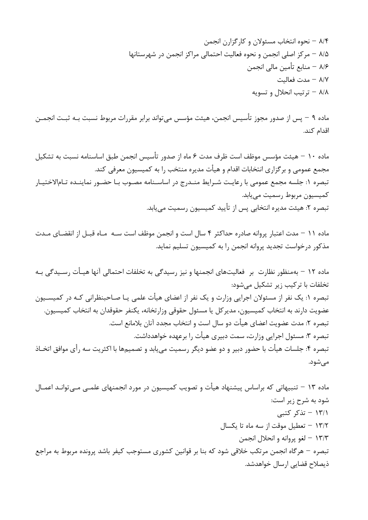ماده ۹ – پس از صدور مجوز تأسیس انجمن، هیئت مؤسس می تواند برابر مقررات مربوط نسبت بـه ثبـت انجمــن اقدام كند.

ماده ۱۰ – هیئت مؤسس موظف است ظرف مدت ۶ ماه از صدور تأسیس انجمن طبق اساسنامه نسبت به تشکیل مجمع عمومی و برگزاری انتخابات اقدام و هیأت مدیره منتخب را به کمیسیون معرفی کند. تبصره ١: جلسه مجمع عمومي با رعايت شـرايط منـدرج در اساسـنامه مصـوب بـا حضـور نماينـده تـامالاختيـار كميسيون مربوط رسميت مي يابد. تبصره ٢: هيئت مديره انتخابي پس از تأييد كميسيون رسميت مي يابد.

ماده ١١ – مدت اعتبار پروانه صادره حداكثر ۴ سال است و انجمن موظف است سـه مـاه قبـل از انقضـاى مـدت مذکور درخواست تجدید پروانه انجمن را به کمیسیون تسلیم نماید.

ماده ۱۲ – بهمنظور نظارت بر فعالیتهای انجمنها و نیز رسیدگی به تخلفات احتمالی آنها هیــأت رســیدگی بــه تخلفات با تركيب زير تشكيل مىشود: تبصره ۱: یک نفر از مسئولان اجرایی وزارت و یک نفر از اعضای هیأت علمی یـا صـاحبنظرانی کـه در کمیســیون عضويت دارند به انتخاب كميسيون، مدير كل يا مسئول حقوقي وزارتخانه، يكنفر حقوقدان به انتخاب كميسيون. تبصره ٢: مدت عضويت اعضاي هيأت دو سال است و انتخاب مجدد آنان بلامانع است. تبصره ٣: مسئول اجرايي وزارت، سمت دبيري هيأت را برعهده خواهدداشت. تبصره ۴: جلسات هيأت با حضور دبير و دو عضو ديگر رسميت مي يابد و تصميمها با اكثريت سه رأى موافق اتخــاذ مىشود.

ماده ۱۳ – تنبیهاتی که براساس پیشنهاد هیأت و تصویب کمیسیون در مورد انجمنهای علمــی مــی;توانـد اعمــال شود به شرح زیر است: ۱۳/۱ – تذکر کتبی ١٣/٢ - تعطيل موقت از سه ماه تا يكسال ۱۳/۳ – لغو پروانه و انحلال انجمن تبصره – هرگاه انجمن مرتکب خلاقی شود که بنا بر قوانین کشوری مستوجب کیفر باشد پرونده مربوط به مراجع ذیصلاح قضایی ارسال خواهدشد.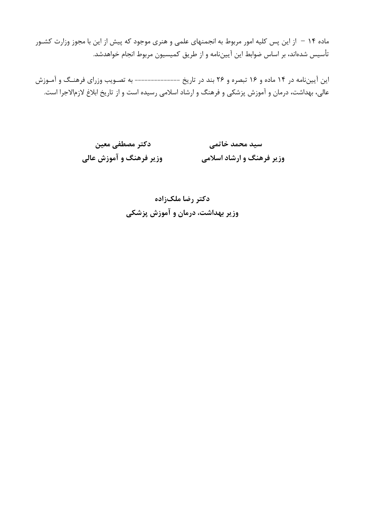ماده ۱۴ – از این پس کلیه امور مربوط به انجمنهای علمی و هنری موجود که پیش از این با مجوز وزارت کشـور تأسیس شدهاند، بر اساس ضوابط این آییننامه و از طریق کمیسیون مربوط انجام خواهدشد.

این آییننامه در ۱۴ ماده و ۱۶ تبصره و ۲۶ بند در تاریخ --------------- به تصـویب وزرای فرهنـگ و آمـوزش عالی، بهداشت، درمان و آموزش پزشکی و فرهنگ و ارشاد اسلامی رسیده است و از تاریخ ابلاغ لازمالاجرا است.

> دكتر مصطفى معين سید محمد خاتمی وزير فرهنگ و آموزش عالي وزیر فرهنگ و ارشاد اسلامی

> > دکتر رضا ملکزاده وزیر بهداشت، درمان و آموزش پزشکی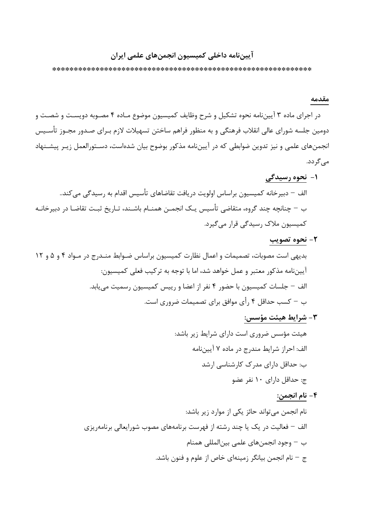### آييننامه داخلي كميسيون انجمنهاي علمي ايران

#### مقدمه

در اجرای ماده ۳ آییننامه نحوه تشکیل و شرح وظایف کمیسیون موضوع مـاده ۴ مصـوبه دویسـت و شصـت و دومین جلسه شورای عالی انقلاب فرهنگی و به منظور فراهم ساختن تسهیلات لازم بـرای صـدور مجـوز تأسـیس انجمنهای علمی و نیز تدوین ضوابطی که در آییننامه مذکور بوضوح بیان شدهاست، دسـتورالعمل زیـر پیشـنهاد مے گردد.

۱- نحوه رسیدگی

۲- نحوه تصویب

**٣**- شرايط هيئت مؤسس:

۴ – نام انجمن: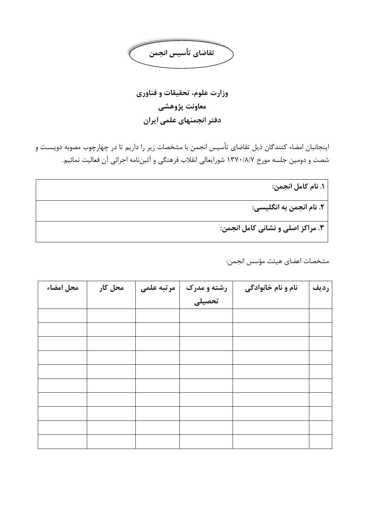

وزارت علوم، تحقیقات و فناوری معاونت پژوهشي دفتر انجمنهای علمی ایران

اینجانبان امضاء کنندگان ذیل تقاضای تأسیس انجمن با مشخصات زیر را داریم تا در چهارچوب مصوبه دویسـت و شصت و دومین جلسه مورخ ۱۳۷۰/۸/۷ شورایعالی انقلاب فرهنگی و آئیننامه اجرائی آن فعالیت نمائیم.

١. نام كامل انجمن:

٢. نام انجمن به انگلیسی:

۳. مراکز اصلي و نشاني کامل انجمن:

مشخصات اعضاى هيئت مؤسس انجمن:

| محل امضاء | محل کار | مرتبه علمى | رشته و مدرک | نام و نام خانوادگی | رديف |
|-----------|---------|------------|-------------|--------------------|------|
|           |         |            | ۔<br>تحصیلی |                    |      |
|           |         |            |             |                    |      |
|           |         |            |             |                    |      |
|           |         |            |             |                    |      |
|           |         |            |             |                    |      |
|           |         |            |             |                    |      |
|           |         |            |             |                    |      |
|           |         |            |             |                    |      |
|           |         |            |             |                    |      |
|           |         |            |             |                    |      |
|           |         |            |             |                    |      |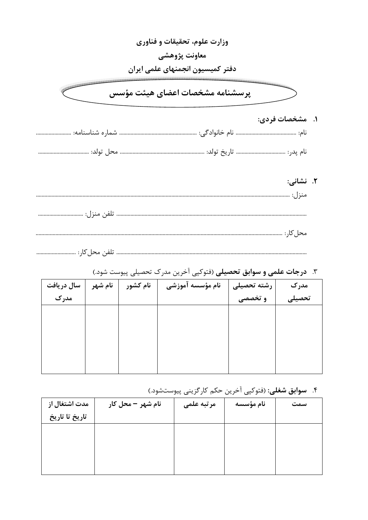| وزارت علوم، تحقیقات و فناوری     |  |
|----------------------------------|--|
| معاونت پژوهشی                    |  |
| دفتر كميسيون انجمنهاي علمى ايران |  |
| پرسشنامه مشخصات اعضای هیئت مؤسس  |  |
| ۱.   مشخصات فردي:                |  |
|                                  |  |
|                                  |  |
| ۲. نشانی:                        |  |
|                                  |  |
|                                  |  |
|                                  |  |
| تلفن محل کار :                   |  |

| سال دريافت | نام شهر | نام کشور | نام مؤسسه آموزشی | رشته تحصیلی | مدرک   |
|------------|---------|----------|------------------|-------------|--------|
| مدرک       |         |          |                  | و تخصصی     | تحصيلى |
|            |         |          |                  |             |        |
|            |         |          |                  |             |        |
|            |         |          |                  |             |        |
|            |         |          |                  |             |        |
|            |         |          |                  |             |        |
|            |         |          |                  |             |        |

### ۳. **درجات علمی و سوابق تحصیلی** (فتوکپی آخرین مدرک تحصیلی پیوست شود.)

## ۴. **سوابق شغلي:** (فتوكپي اَخرين حكم كارگزيني پيوستشود.)

| مدت اشتغال از  | نام شهر – محل کار | مرتبه علمى | نام مؤسسه | سمت |
|----------------|-------------------|------------|-----------|-----|
| تاريخ تا تاريخ |                   |            |           |     |
|                |                   |            |           |     |
|                |                   |            |           |     |
|                |                   |            |           |     |
|                |                   |            |           |     |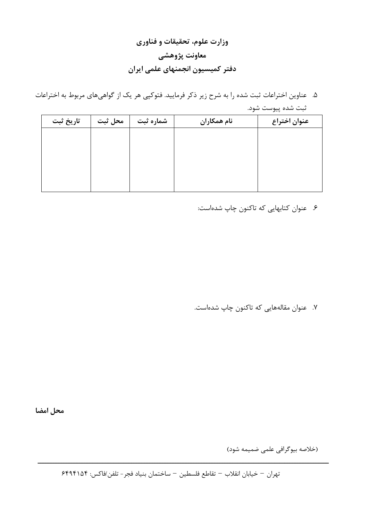## وزارت علوم، تحقیقات و فناوری معاونت پژوهشی دفتر كميسيون انجمنهاى علمى ايران

۵. عناوین اختراعات ثبت شده را به شرح زیر ذکر فرمایید. فتوکپی هر یک از گواهیهای مربوط به اختراعات ثبت شده پيوست شود.

| تاريخ ثبت | محل ثبت | شماره ثبت | نام همکاران | عنوان اختراع |
|-----------|---------|-----------|-------------|--------------|
|           |         |           |             |              |
|           |         |           |             |              |
|           |         |           |             |              |
|           |         |           |             |              |
|           |         |           |             |              |

۶. عنوان کتابهایی که تاکنون چاپ شدهاست:

۷. عنوان مقالههایی که تاکنون چاپ شدهاست.

محل امضا

(خلاصه بيوگرافي علمي ضميمه شود)

تهران – خيابان انقلاب – تقاطع فلسطين – ساختمان بنياد فجر- تلفن/فاكس: ۶۴۹۴۱۵۴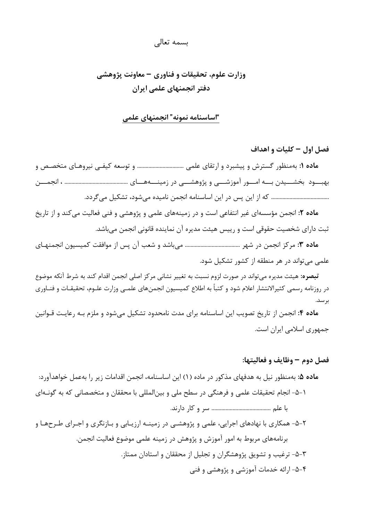#### بسمه تعالى

### وزارت علوم، تحقیقات و فناوری – معاونت پژوهشی دفتر انجمنهای علمی ایران

#### "اساسنامه نمونه" انجمنهای علمی

فصل اول – كليات و اهداف م**اده ۱:** بهمنظور گسترش و پیشبرد و ارتقای علمی .................................. و توسعه کیفـی نیروهـای متخصـص و 

م**اده ۲:** انجمن مؤسسهای غیر انتفاعی است و در زمینههای علمی و پژوهشی و فنی فعالیت می کند و از تاریخ ثبت دارای شخصیت حقوقی است و رییس هیئت مدیره آن نماینده قانونی انجمن می باشد.

علمی می تواند در هر منطقه از کشور تشکیل شود.

**تبصره:** هیئت مدیره میتواند در صورت لزوم نسبت به تغییر نشانی مرکز اصلی انجمن اقدام کند به شرط آنکه موضوع در روزنامه رسمی کثیرالانتشار اعلام شود و کتباً به اطلاع کمیسیون انجمنهای علمـی وزارت علـوم، تحقیقـات و فنــاوری بر سد.

ماده ۴: انجمن از تاریخ تصویب این اساسنامه برای مدت نامحدود تشکیل می شود و ملزم بـه رعایـت قـوانین جمهوری اسلامی ایران است.

#### فصل دوم – وظايف و فعاليتها:

م**اده ۵:** بهمنظور نیل به هدفهای مذکور در ماده (۱) این اساسنامه، انجمن اقدامات زیر را بهعمل خواهدآورد: ١-۵- انجام تحقیقات علمی و فرهنگی در سطح ملی و بین|لمللی با محققان و متخصصانی که به گونـهای 

۲-۵- همکاری با نهادهای اجرایی، علمی و پژوهشـی در زمینــه ارزیـابی و بـازنگری و اجـرای طـرحهـا و برنامههای مربوط به امور آموزش و پژوهش در زمینه علمی موضوع فعالیت انجمن. ۳-۵- ترغیب و تشویق پژوهشگران و تجلیل از محققان و استادان ممتاز. ۴-۵- ارائه خدمات آموزشی و پژوهشی و فنی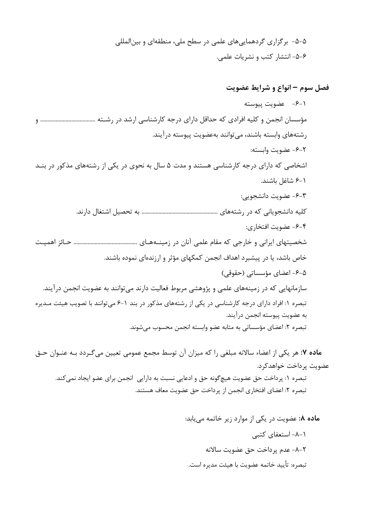۵-۵- برگزاری گردهماییهای علمی در سطح ملی، منطقهای و بینالمللی ۶-۵- انتشار کتب و نشریات علمی.

فصل سوم – انواع و شرایط عضویت

١-۶– عضويت پيوسته مؤسسان انجمن و کلیه افرادی که حداقل دارای درجه کارشناسی ارشد در رشـته ................................... و رشتههای وابسته باشند، می توانند بهعضویت پیوسته درآیند. ٢-۶- عضويت وابسته: اشخاصی که دارای درجه کارشناسی هستند و مدت ۵ سال به نحوی در یکی از رشتههای مذکور در بنـد ١-۶ شاغل باشند. ۶-۳- عضویت دانشجویی: ۴-۶- عضويت افتخاري: خاص باشد، یا در پیشبرد اهداف انجمن کمکهای مؤثر و ارزندهای نموده باشند. ۵-۶- اعضای مؤسساتی (حقوقی) سازمانهایی که در زمینههای علمی و پژوهشی مربوط فعالیت دارند می توانند به عضویت انجمن درآیند. تبصره ۱: افراد دارای درجه کارشناسی در یکی از رشتههای مذکور در بند ۱-۶ می توانند با تصویب هیئت مـدیره به عضويت پيوسته انجمن درآيند. تبصره ٢: اعضاى مؤسساتى به مثابه عضو وابسته انجمن محسوب مى شوند.

م**اده ۷:** هر یکی از اعضاء سالانه مبلغی را که میزان آن توسط مجمع عمومی تعیین میگردد بـه عنـوان حـق عضويت پرداخت خواهدكرد. تبصره ۱: پرداخت حق عضویت هیچگونه حق و ادعایی نسبت به دارایی انجمن برای عضو ایجاد نمی کند. تبصره ٢: اعضاى افتخارى انجمن از يرداخت حق عضويت معاف هستند.

> ماده ٨: عضویت در یکی از موارد زیر خاتمه می یابد: ۱-۸- استعفای کتبی ٢-٨- عدم يرداخت حق عضويت سالانه تبصره: تأييد خاتمه عضويت با هيئت مديره است.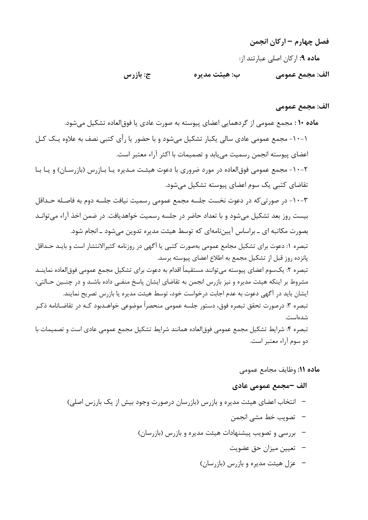فصل چهارم – اركان انجمن ماده ۹: اركان اصلي عبارتند از: ج: بازرس ب: هيئت مدير ه الف: مجمع عمومي

#### الف: مجمع عمومي

ماده ۱۰: مجمع عمومی از گردهمایی اعضای پیوسته به صورت عادی یا فوقالعاده تشکیل می شود. ۱-۱۰- مجمع عمومی عادی سالی یکبار تشکیل می شود و با حضور یا رأی کتبی نصف به علاوه یـک کـل اعضای پیوسته انجمن رسمیت می یابد و تصمیمات با اکثر آراء معتبر است. ۲-۱۰- مجمع عمومی فوق|لعاده در مورد ضروری با دعوت هیئـت مـدیره یـا بـازرس (بازرسـان) و یـا بـا تقاضای کتبی یک سوم اعضای پیوسته تشکیل می شود. ٣-١٠- در صورتي كه در دعوت نخست جلسه مجمع عمومي رسميت نيافت جلسه دوم به فاصـله حـداقل بیست روز بعد تشکیل میشود و با تعداد حاضر در جلسه رسمیت خواهدیافت. در ضمن اخذ آراء می توانـد بصورت مکاتبه ای ــ براساس آییننامهای که توسط هیئت مدیره تدوین میشود ــ انجام شود. تبصره ۱: دعوت برای تشکیل مجامع عمومی بهصورت کتبی یا آگهی در روزنامه کثیرالانتشار است و بایـد حـداقل یانزده روز قبل از تشکیل مجمع به اطلاع اعضای پیوسته برسد. تبصره ٢: يکسوم اعضاي پيوسته مي توانند مستقيماً اقدام به دعوت براي تشکيل مجمع عمومي فوق|لعاده نماينــد مشروط بر اینکه هیئت مدیره و نیز بازرس انجمن به تقاضای ایشان پاسخ منفـی داده باشـد و در چنـین حـالتی، ایشان باید در آگهی دعوت به عدم اجابت درخواست خود، توسط هیئت مدیره یا بازرس تصریح نمایند. تبصره ۳: درصورت تحقق تبصره فوق، دستور جلسه عمومی منحصراً موضوعی خواهـدبود کـه در تقاضـانامه ذکـر شدەاست. تبصره ۴: شرایط تشکیل مجمع عمومی فوق|لعاده همانند شرایط تشکیل مجمع عمومی عادی است و تصمیمات با دو سوم آراء معتبر است.

ماده ١١: وظايف مجامع عمومي

#### الف –مجمع عمومي عادي

- انتخاب اعضای هیئت مدیره و بازرس (بازرسان درصورت وجود بیش از یک بارزس اصلی)
	- –۔ تصویب خط مشے انجمن
	- بررسی و تصویب پیشنهادات هیئت مدیره و بازرس (بازرسان)
		- –۔ تعیین میزان حق عضویت
		- $\left(\cdot\right)$  عزل هيئت مديره و بازرس (بازرسان)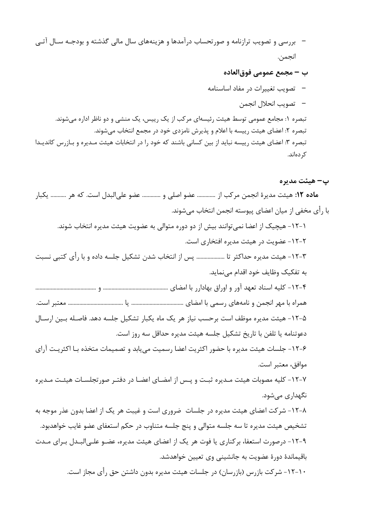- بررسی و تصویب ترازنامه و صورتحساب درآمدها و هزینههای سال مالی گذشته و بودجـه سـال آتـی انجمن.
	- ب مجمع عمومي فوق|لعاده
	- –۔ تصویب تغییرات در مفاد اساسنامه
		- –۔ تصويب انحلال انجمن

تبصره ۱: مجامع عمومی توسط هیئت رئیسهای مرکب از یک رییس، یک منشی و دو ناظر اداره میشوند. تبصره ۲: اعضای هیئت رییسه با اعلام و پذیرش نامزدی خود در مجمع انتخاب میشوند. تبصره ۳: اعضای هیئت رییسه نباید از بین کسانی باشند که خود را در انتخابات هیئت مـدیره و بـازرس کاندیـدا کر دہاند.

#### پ– هيئت مدير ه

م**اده ١٢:** هيئت مديرة انجمن مركب از ............. عضو اصلي و ............. عضو علىالبدل است. كه هر ............ يكبار با رأى مخفى از ميان اعضاى پيوسته انجمن انتخاب مىشوند. ١-١٢- هيچيک از اعضا نمي توانند بيش از دو دوره متوالي به عضويت هيئت مديره انتخاب شوند. ۲–۱۲– عضویت در هیئت مدیره افتخاری است. ٣-١٢- هيئت مديره حداكثر تا ................... پس از انتخاب شدن تشكيل جلسه داده و با رأى كتبى نسبت به تفكيك وظايف خود اقدام مىنمايد. ۵-۱۲- هیئت مدیره موظف است برحسب نیاز هر یک ماه یکبار تشکیل جلسه دهد. فاصـله بـین ارسـال دعوتنامه يا تلفن با تاريخ تشكيل جلسه هيئت مديره حداقل سه روز است. ۶-١٢- جلسات هيئت مديره با حضور اكثريت اعضا رسميت مي يابد و تصميمات متخذه بـا اكثريـت آراي موافق، معتبر است. ۷-۱۲- کلیه مصوبات هیئت مـدیره ثبـت و پـس از امضـای اعضـا در دفتـر صورتجلسـات هیئـت مـدیره نگهداری مے شود. ۸-۱۲- شرکت اعضای هیئت مدیره در جلسات ٍ ضروری است و غیبت هر یک از اعضا بدون عذر موجه به تشخیص هیئت مدیره تا سه جلسه متوالی و پنج جلسه متناوب در حکم استعفای عضو غایب خواهدبود. ۹-۱۲- درصورت استعفا، بركناري يا فوت هر يک از اعضاي هيئت مديره، عضـو علـي|لبــدل بـراي مــدت باقیماندهٔ دورهٔ عضویت به جانشینی وی تعیین خواهدشد. ۱۰–۱۲– شرکت بازرس (بازرسان) در جلسات هیئت مدیره بدون داشتن حق رأی مجاز است.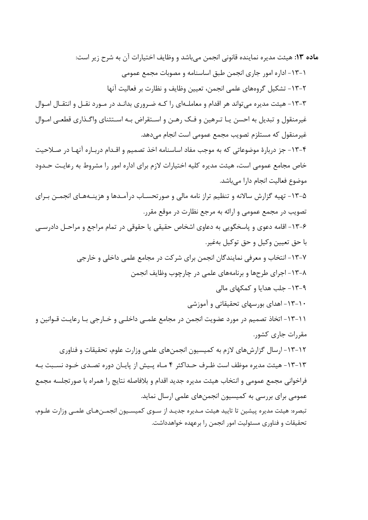ماده ۱۳: هیئت مدیره نماینده قانونی انجمن میباشد و وظایف اختیارات آن به شرح زیر است: ١-١٣- اداره امور جارى انجمن طبق اساسنامه و مصوبات مجمع عمومى ٢-١٣- تشكيل گروههاي علمي انجمن، تعيين وظايف و نظارت بر فعاليت آنها ۳–۱۳– هیئت مدیره می تواند هر اقدام و معاملـهای را کـه ضـروری بدانـد در مـورد نقـل و انتقـال امـوال غیرمنقول و تبدیل به احسن یـا تـرهین و فـک رهـن و اسـتقراض بـه اسـتثنای واگـذاری قطعـی امـوال غیرمنقول که مستلزم تصویب مجمع عمومی است انجام میدهد. ۴-۱۳- جز دربارهٔ موضوعاتی که به موجب مفاد اساسنامه اخذ تصمیم و اقـدام دربـاره آنهـا در صـلاحیت خاص مجامع عمومی است، هیئت مدیره کلیه اختیارات لازم برای اداره امور را مشروط به رعایت حـدود موضوع فعالیت انجام دارا میباشد. ۵-۱۳- تهیه گزارش سالانه و تنظیم تراز نامه مالی و صورتحسـاب درآمـدها و هزینـههـای انجمــن بـرای تصویب در مجمع عمومی و ارائه به مرجع نظارت در موقع مقرر. ۶-۱۳- اقامه دعوی و پاسخگویی به دعاوی اشخاص حقیقی یا حقوقی در تمام مراجع و مراحـل دادرســی با حق تعيين وكيل و حق توكيل بهغير. ۷-۱۳- انتخاب و معرفی نمایندگان انجمن برای شرکت در مجامع علمی داخلی و خارجی ۸-۱۳- اجرای طرحها و برنامههای علمی در چارچوب وظایف انجمن ۹-۱۳- جلب هدایا و کمکهای مالی ۱۰–۱۳- اهدای بورسهای تحقیقاتی و آموزشی ١١-١٣- اتخاذ تصميم در مورد عضويت انجمن در مجامع علمـي داخلـي و خــارجي بـا رعايـت قــوانين و مقررات جاری کشور. ۱۲–۱۳– ارسال گزارشهای لازم به کمیسیون انجمنهای علمی وزارت علوم، تحقیقات و فناوری ۱۳-۱۳- هیئت مدیره موظف است ظـرف حـداکثر ۴ مـاه پـیش از پایـان دوره تصـدی خـود نسـبت بـه فراخواني مجمع عمومي و انتخاب هيئت مديره جديد اقدام و بلافاصله نتايج را همراه با صورتجلسه مجمع عمومی برای بررسی به کمیسیون انجمنهای علمی ارسال نماید. تبصره: هیئت مدیره پیشین تا تایید هیئت مـدیره جدیـد از سـوی کمیسـیون انجمـنهـای علمـی وزارت علـوم، تحقیقات و فناوری مسئولیت امور انجمن را برعهده خواهدداشت.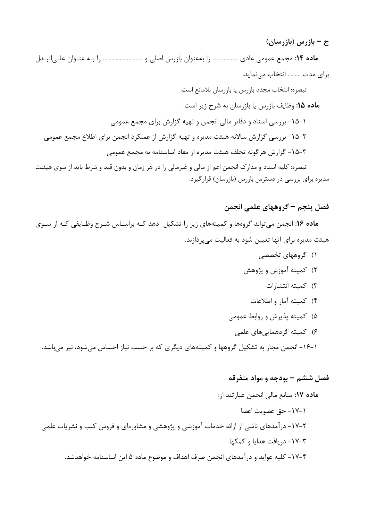ج – بازرس (بازرسان)

ماده ۱۴: مجمع عمومی عادی ................... را بهعنوان بازرس اصلی و ............................. را بـه عنـوان علـیالبـدل برای مدت ......... انتخاب مے نماید.

تبصره: انتخاب مجدد بازرس يا بازرسان بلامانع است. ماده ۱۵: وظایف بازرس یا بازرسان به شرح زیر است. ۱–۱۵– بررسی اسناد و دفاتر مالی انجمن و تهیه گزارش برای مجمع عمومی ۲-۱۵- بررسی گزارش سالانه هیئت مدیره و تهیه گزارش از عملکرد انجمن برای اطلاع مجمع عمومی ٣-١۵- گزارش هرگونه تخلف هيئت مديره از مفاد اساسنامه به مجمع عمومي تبصره: کلیه اسناد و مدارک انجمن اعم از مالی و غیرمالی را در هر زمان و بدون قید و شرط باید از سوی هیئت

مدیره برای بررسی در دسترس بازرس (بازرسان) قرارگیرد.

فصل ينجم – گروههاي علمي انجمن

ماده ۱۶: انجمن میتواند گروهها و کمیتههای زیر را تشکیل دهد کـه براسـاس شـرح وظـایفی کـه از سـوی هیئت مدیره برای آنها تعیین شود به فعالیت می پردازند.

> ۱) گروههای تخصصی ۲) کمیته آموزش و پژوهش ٣) كميته انتشارات ۴) کمیته آمار و اطلاعات ۵) کمیته پذیرش و روابط عمومی ۶) کمیته گردهماییهای علمی

۱-۱۶– انجمن مجاز به تشکیل گروهها و کمیتههای دیگری که بر حسب نیاز احساس میشود، نیز میباشد.

#### فصل ششم – بودجه و مواد متفرقه

ماده ١٧: منابع مالي انجمن عبارتند از: ١-١٧- حق عضويت اعضا ۲-۱۷- درآمدهای ناشی از ارائه خدمات آموزشی و پژوهشی و مشاورهای و فروش کتب و نشریات علمی ۳-۱۷- دریافت هدایا و کمکها ۰۱۷-۴ کلیه عواید و در آمدهای انجمن صرف اهداف و موضوع ماده ۵ این اساسنامه خواهدشد.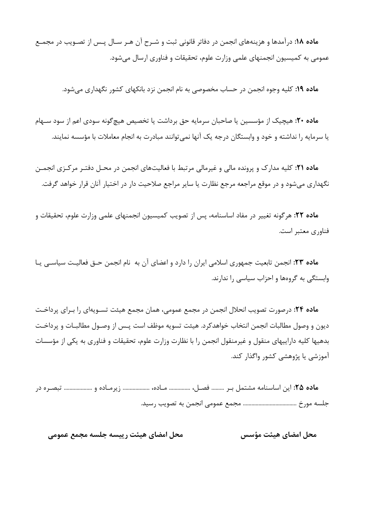ماده ۱۸: درآمدها و هزینههای انجمن در دفاتر قانونی ثبت و شـرح آن هـر سـال پـس از تصـویب در مجمـع عمومی به کمیسیون انجمنهای علمی وزارت علوم، تحقیقات و فناوری ارسال می شود.

ماده ۱۹: کلیه وجوه انجمن در حساب مخصوصی به نام انجمن نزد بانکهای کشور نگهداری می شود.

م**اده ۲۰:** هیچیک از مؤسسین یا صاحبان سرمایه حق برداشت یا تخصیص هیچ گونه سودی اعم از سود سـهام یا سرمایه را نداشته و خود و وابستگان درجه یک آنها نمی توانند مبادرت به انجام معاملات با مؤسسه نمایند.

ماده ۲۱: کلیه مدارک و پرونده مالی و غیرمالی مرتبط با فعالیتهای انجمن در محـل دفتـر مرکـزی انجمـن نگهداری می شود و در موقع مراجعه مرجع نظارت یا سایر مراجع صلاحیت دار در اختیار آنان قرار خواهد گرفت.

م**اده ۲۲:** هرگونه تغییر در مفاد اساسنامه، پس از تصویب کمیسیون انجمنهای علمی وزارت علوم، تحقیقات و فناوری معتبر است.

ماده ٢٣: انجمن تابعیت جمهوری اسلامی ایران را دارد و اعضای آن به نام انجمن حــق فعالیـت سیاســی یــا وابستگی به گروهها و احزاب سیاسی را ندارند.

م**اده ۲۴:** درصورت تصویب انحلال انجمن در مجمع عمومی، همان مجمع هیئت تسـویهای را بـرای پرداخـت ديون و وصول مطالبات انجمن انتخاب خواهدكرد. هيئت تسويه موظف است پــس از وصــول مطالبــات و پرداخــت بدهیها کلیه داراییهای منقول و غیرمنقول انجمن را با نظارت وزارت علوم، تحقیقات و فناوری به یکی از مؤسسات آموزشی یا پژوهشی کشور واگذار کند.

م**اده ۲۵:** این اساسنامه مشتمل بـر ......... فصـل، ............... مـاده، .................. زیرمـاده و ................... تبصـره در 

محل امضاي هيئت رييسه جلسه مجمع عمومي محل امضاي هيئت مؤسس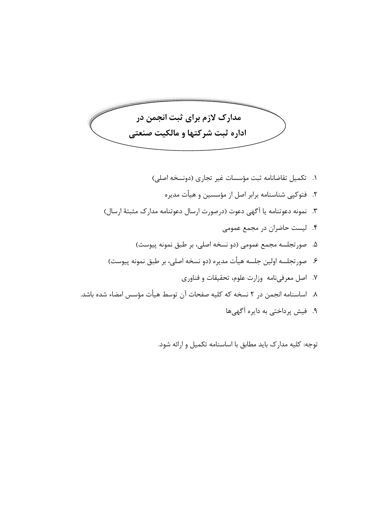مدارک لازم برای ثبت انجمن در اداره ثبت شركتها و مالكيت صنعتى

توجه: کلیه مدارک باید مطابق با اساسنامه تکمیل و ارائه شود.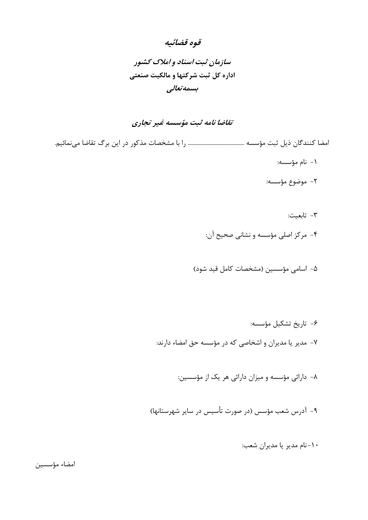### قوه قضائيه

## سازمان ثبت اسناد و املاک کشور اداره کل ثبت شرکتها و مالکیت صنعتی بسمەتعالى

### تقاضا نامه ثبت مؤسسه غير تجاري

- ١- نام مؤسسه:
- ٢- موضوع مؤسسه:
	- ٣- تابعيت:
- ۴- مرکز اصلی مؤسسه و نشانی صحیح آن:
- ۵- اسامی مؤسسین (مشخصات کامل قید شود)
	- ۶- تاریخ تشکیل مؤسسه:
- ٧- مدير يا مديران و اشخاصي كه در مؤسسه حق امضاء دارند:
	- ۸– دارائی مؤسسه و میزان دارائی هر یک از مؤسسین:
- ۹- آدرس شعب مؤسس (در صورت تأسیس در سایر شهرستانها)
	- ۱۰-نام مدیر یا مدیران شعب:

امضاء مؤسسين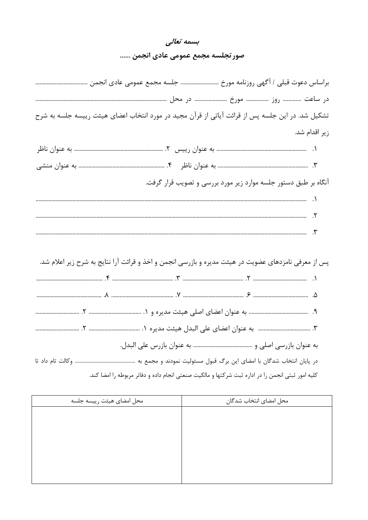### بسمه تعالى

### صور تجلسه مجمع عمومی عادی انجمن ......

| تشکیل شد. در این جلسه پس از قرائت آیاتی از قرآن مجید در مورد انتخاب اعضای هیئت رییسه جلسه به شرح     |
|------------------------------------------------------------------------------------------------------|
| زیر اقدام شد.                                                                                        |
|                                                                                                      |
|                                                                                                      |
| آنگاه بر طبق دستور جلسه موارد زیر مورد بررسی و تصویب قرار گرفت.                                      |
|                                                                                                      |
|                                                                                                      |
|                                                                                                      |
|                                                                                                      |
| پس از معرفی نامزدهای عضویت در هیئت مدیره و بازرسی انجمن و اخذ و قرائت آرا نتایج به شرح زیر اعلام شد. |
|                                                                                                      |
|                                                                                                      |
|                                                                                                      |
|                                                                                                      |
|                                                                                                      |
|                                                                                                      |
| کلیه امور ثبتی انجمن را در اداره ثبت شرکتها و مالکیت صنعتی انجام داده و دفاتر مربوطه را امضا کند.    |

| محل امضاي هيئت رييسه جلسه | محل امضاى انتخاب شدگان |
|---------------------------|------------------------|
|                           |                        |
|                           |                        |
|                           |                        |
|                           |                        |
|                           |                        |
|                           |                        |
|                           |                        |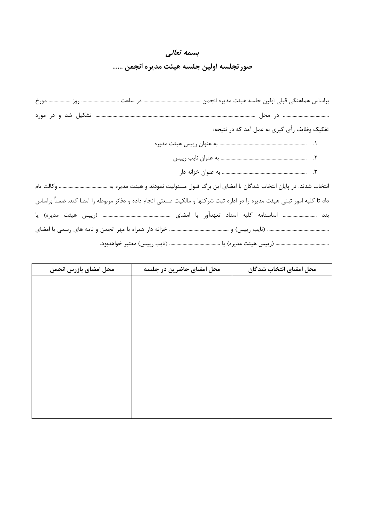| بسمه تعالى                            |  |
|---------------------------------------|--|
| صور تجلسه اولين جلسه هيئت مديره انجمن |  |

| تفکیک وظایف رأی گیری به عمل آمد که در نتیجه:                                                                              |
|---------------------------------------------------------------------------------------------------------------------------|
| ۱. سیسیسیسیسیسیسیسیسیسیسیسیسیسیسیسیسی هیئت مدیره                                                                          |
| ٢. سسسسسسسسسسسسسسسسسسسسسسسسسسس به عنوان نايب رييس                                                                         |
|                                                                                                                           |
|                                                                                                                           |
| داد تا کلیه امور ثبتی هیئت مدیره را در اداره ثبت شرکتها و مالکیت صنعتی انجام داده و دفاتر مربوطه را امضا کند. ضمنأ براساس |
|                                                                                                                           |
|                                                                                                                           |
|                                                                                                                           |

| محل امضاى بازرس انجمن | محل امضای حاضرین در جلسه | محل امضاى انتخاب شدگان |
|-----------------------|--------------------------|------------------------|
|                       |                          |                        |
|                       |                          |                        |
|                       |                          |                        |
|                       |                          |                        |
|                       |                          |                        |
|                       |                          |                        |
|                       |                          |                        |
|                       |                          |                        |
|                       |                          |                        |
|                       |                          |                        |
|                       |                          |                        |
|                       |                          |                        |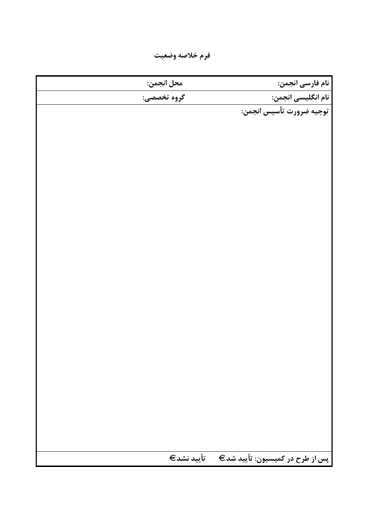فرم خلاصه وضعيت

| محل انجمن:  | نام فارسی انجمن:                |
|-------------|---------------------------------|
| گروه تخصصی: | نام انگلیسی انجمن:              |
|             | توجيه ضرورت تأسيس انجمن:        |
|             |                                 |
|             |                                 |
|             |                                 |
|             |                                 |
|             |                                 |
|             |                                 |
|             |                                 |
|             |                                 |
|             |                                 |
|             |                                 |
|             |                                 |
|             |                                 |
|             |                                 |
|             |                                 |
|             |                                 |
|             |                                 |
|             |                                 |
|             |                                 |
|             |                                 |
|             |                                 |
|             |                                 |
|             |                                 |
|             |                                 |
|             |                                 |
| تأييد نشد€  | پس از طرح در کمیسیون: تأیید شد€ |